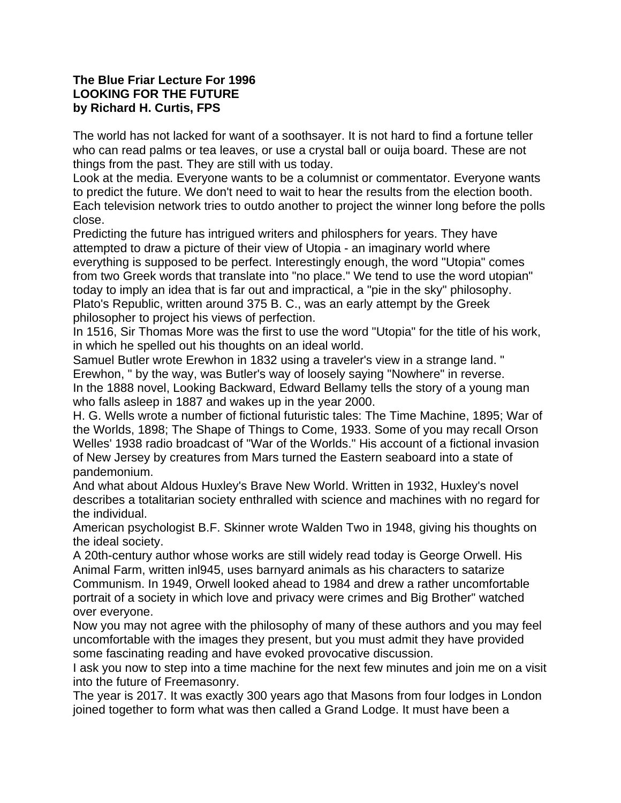## **The Blue Friar Lecture For 1996 LOOKING FOR THE FUTURE by Richard H. Curtis, FPS**

The world has not lacked for want of a soothsayer. It is not hard to find a fortune teller who can read palms or tea leaves, or use a crystal ball or ouija board. These are not things from the past. They are still with us today.

Look at the media. Everyone wants to be a columnist or commentator. Everyone wants to predict the future. We don't need to wait to hear the results from the election booth. Each television network tries to outdo another to project the winner long before the polls close.

Predicting the future has intrigued writers and philosphers for years. They have attempted to draw a picture of their view of Utopia - an imaginary world where everything is supposed to be perfect. Interestingly enough, the word "Utopia" comes from two Greek words that translate into "no place." We tend to use the word utopian" today to imply an idea that is far out and impractical, a "pie in the sky" philosophy. Plato's Republic, written around 375 B. C., was an early attempt by the Greek philosopher to project his views of perfection.

In 1516, Sir Thomas More was the first to use the word "Utopia" for the title of his work, in which he spelled out his thoughts on an ideal world.

Samuel Butler wrote Erewhon in 1832 using a traveler's view in a strange land. " Erewhon, " by the way, was Butler's way of loosely saying "Nowhere" in reverse. In the 1888 novel, Looking Backward, Edward Bellamy tells the story of a young man who falls asleep in 1887 and wakes up in the year 2000.

H. G. Wells wrote a number of fictional futuristic tales: The Time Machine, 1895; War of the Worlds, 1898; The Shape of Things to Come, 1933. Some of you may recall Orson Welles' 1938 radio broadcast of "War of the Worlds." His account of a fictional invasion of New Jersey by creatures from Mars turned the Eastern seaboard into a state of pandemonium.

And what about Aldous Huxley's Brave New World. Written in 1932, Huxley's novel describes a totalitarian society enthralled with science and machines with no regard for the individual.

American psychologist B.F. Skinner wrote Walden Two in 1948, giving his thoughts on the ideal society.

A 20th-century author whose works are still widely read today is George Orwell. His Animal Farm, written inl945, uses barnyard animals as his characters to satarize Communism. In 1949, Orwell looked ahead to 1984 and drew a rather uncomfortable portrait of a society in which love and privacy were crimes and Big Brother" watched over everyone.

Now you may not agree with the philosophy of many of these authors and you may feel uncomfortable with the images they present, but you must admit they have provided some fascinating reading and have evoked provocative discussion.

I ask you now to step into a time machine for the next few minutes and join me on a visit into the future of Freemasonry.

The year is 2017. It was exactly 300 years ago that Masons from four lodges in London joined together to form what was then called a Grand Lodge. It must have been a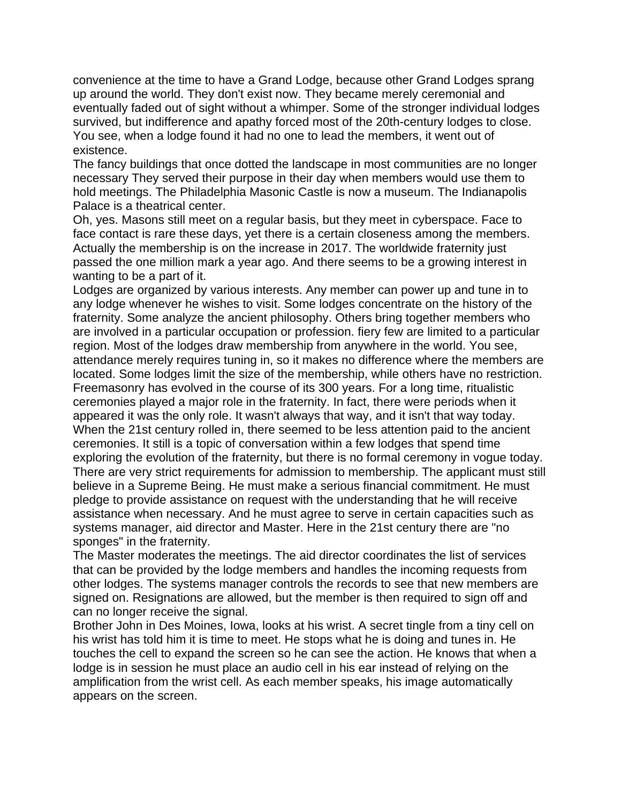convenience at the time to have a Grand Lodge, because other Grand Lodges sprang up around the world. They don't exist now. They became merely ceremonial and eventually faded out of sight without a whimper. Some of the stronger individual lodges survived, but indifference and apathy forced most of the 20th-century lodges to close. You see, when a lodge found it had no one to lead the members, it went out of existence.

The fancy buildings that once dotted the landscape in most communities are no longer necessary They served their purpose in their day when members would use them to hold meetings. The Philadelphia Masonic Castle is now a museum. The Indianapolis Palace is a theatrical center.

Oh, yes. Masons still meet on a regular basis, but they meet in cyberspace. Face to face contact is rare these days, yet there is a certain closeness among the members. Actually the membership is on the increase in 2017. The worldwide fraternity just passed the one million mark a year ago. And there seems to be a growing interest in wanting to be a part of it.

Lodges are organized by various interests. Any member can power up and tune in to any lodge whenever he wishes to visit. Some lodges concentrate on the history of the fraternity. Some analyze the ancient philosophy. Others bring together members who are involved in a particular occupation or profession. fiery few are limited to a particular region. Most of the lodges draw membership from anywhere in the world. You see, attendance merely requires tuning in, so it makes no difference where the members are located. Some lodges limit the size of the membership, while others have no restriction. Freemasonry has evolved in the course of its 300 years. For a long time, ritualistic ceremonies played a major role in the fraternity. In fact, there were periods when it appeared it was the only role. It wasn't always that way, and it isn't that way today. When the 21st century rolled in, there seemed to be less attention paid to the ancient ceremonies. It still is a topic of conversation within a few lodges that spend time exploring the evolution of the fraternity, but there is no formal ceremony in vogue today. There are very strict requirements for admission to membership. The applicant must still believe in a Supreme Being. He must make a serious financial commitment. He must pledge to provide assistance on request with the understanding that he will receive assistance when necessary. And he must agree to serve in certain capacities such as systems manager, aid director and Master. Here in the 21st century there are "no sponges" in the fraternity.

The Master moderates the meetings. The aid director coordinates the list of services that can be provided by the lodge members and handles the incoming requests from other lodges. The systems manager controls the records to see that new members are signed on. Resignations are allowed, but the member is then required to sign off and can no longer receive the signal.

Brother John in Des Moines, Iowa, looks at his wrist. A secret tingle from a tiny cell on his wrist has told him it is time to meet. He stops what he is doing and tunes in. He touches the cell to expand the screen so he can see the action. He knows that when a lodge is in session he must place an audio cell in his ear instead of relying on the amplification from the wrist cell. As each member speaks, his image automatically appears on the screen.